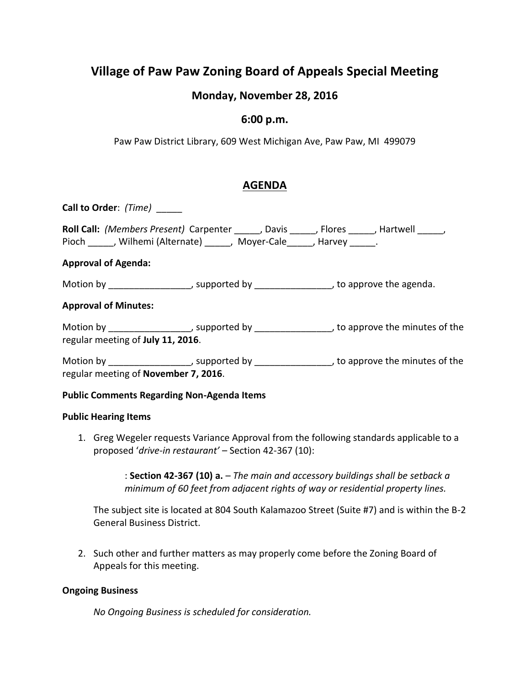# **Village of Paw Paw Zoning Board of Appeals Special Meeting**

# **Monday, November 28, 2016**

### **6:00 p.m.**

Paw Paw District Library, 609 West Michigan Ave, Paw Paw, MI 499079

# **AGENDA**

**Call to Order**: *(Time)* \_\_\_\_\_ **Roll Call:** *(Members Present)* Carpenter \_\_\_\_\_, Davis \_\_\_\_\_, Flores \_\_\_\_\_, Hartwell \_\_\_\_\_, Pioch \_\_\_\_\_, Wilhemi (Alternate) \_\_\_\_\_, Moyer-Cale \_\_\_\_, Harvey \_\_\_\_\_. **Approval of Agenda:** Motion by \_\_\_\_\_\_\_\_\_\_\_\_\_\_\_\_\_\_, supported by \_\_\_\_\_\_\_\_\_\_\_\_\_\_\_\_\_, to approve the agenda. **Approval of Minutes:** Motion by \_\_\_\_\_\_\_\_\_\_\_\_\_\_\_\_\_\_, supported by \_\_\_\_\_\_\_\_\_\_\_\_\_\_\_\_\_\_, to approve the minutes of the regular meeting of **July 11, 2016**. Motion by \_\_\_\_\_\_\_\_\_\_\_\_\_\_\_\_\_, supported by \_\_\_\_\_\_\_\_\_\_\_\_\_\_\_\_\_, to approve the minutes of the

regular meeting of **November 7, 2016**.

### **Public Comments Regarding Non-Agenda Items**

#### **Public Hearing Items**

1. Greg Wegeler requests Variance Approval from the following standards applicable to a proposed '*drive-in restaurant'* – Section 42-367 (10):

> : **Section 42-367 (10) a.** – *The main and accessory buildings shall be setback a minimum of 60 feet from adjacent rights of way or residential property lines.*

The subject site is located at 804 South Kalamazoo Street (Suite #7) and is within the B-2 General Business District.

2. Such other and further matters as may properly come before the Zoning Board of Appeals for this meeting.

#### **Ongoing Business**

*No Ongoing Business is scheduled for consideration.*